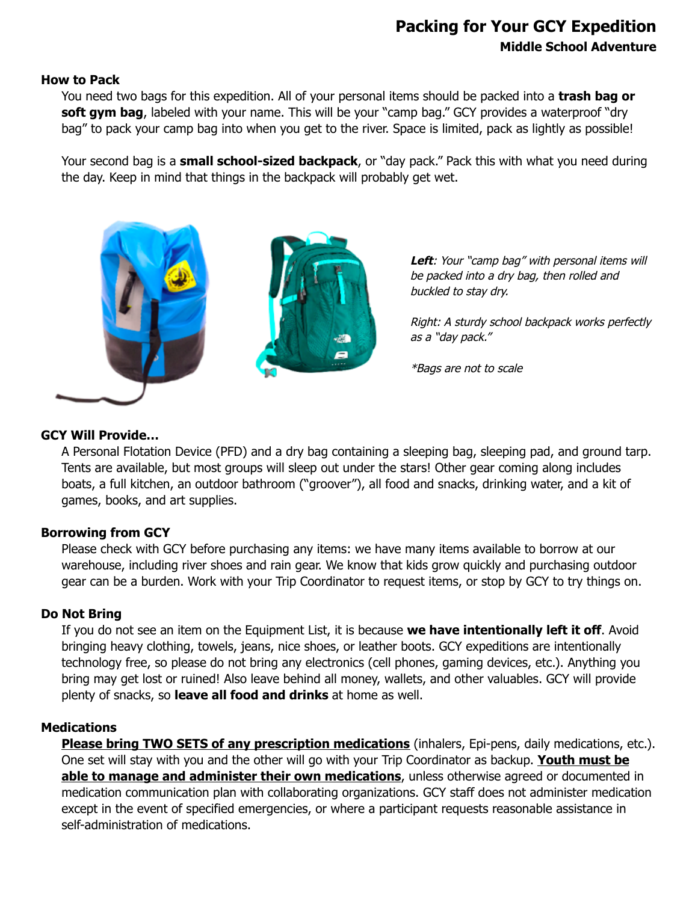# **Packing for Your GCY Expedition Middle School Adventure**

### **How to Pack**

You need two bags for this expedition. All of your personal items should be packed into a **trash bag or** soft gym bag, labeled with your name. This will be your "camp bag." GCY provides a waterproof "dry bag" to pack your camp bag into when you get to the river. Space is limited, pack as lightly as possible!

Your second bag is a **small school-sized backpack**, or "day pack." Pack this with what you need during the day. Keep in mind that things in the backpack will probably get wet.



**Left**: Your "camp bag" with personal items will be packed into a dry bag, then rolled and buckled to stay dry.

Right: A sturdy school backpack works perfectly as <sup>a</sup>"day pack."

\*Bags are not to scale

### **GCY Will Provide…**

A Personal Flotation Device (PFD) and a dry bag containing a sleeping bag, sleeping pad, and ground tarp. Tents are available, but most groups will sleep out under the stars! Other gear coming along includes boats, a full kitchen, an outdoor bathroom ("groover"), all food and snacks, drinking water, and a kit of games, books, and art supplies.

### **Borrowing from GCY**

Please check with GCY before purchasing any items: we have many items available to borrow at our warehouse, including river shoes and rain gear. We know that kids grow quickly and purchasing outdoor gear can be a burden. Work with your Trip Coordinator to request items, or stop by GCY to try things on.

### **Do Not Bring**

If you do not see an item on the Equipment List, it is because **we have intentionally left it off**. Avoid bringing heavy clothing, towels, jeans, nice shoes, or leather boots. GCY expeditions are intentionally technology free, so please do not bring any electronics (cell phones, gaming devices, etc.). Anything you bring may get lost or ruined! Also leave behind all money, wallets, and other valuables. GCY will provide plenty of snacks, so **leave all food and drinks** at home as well.

### **Medications**

**Please bring TWO SETS of any prescription medications** (inhalers, Epi-pens, daily medications, etc.). One set will stay with you and the other will go with your Trip Coordinator as backup. **Youth must be able to manage and administer their own medications**, unless otherwise agreed or documented in medication communication plan with collaborating organizations. GCY staff does not administer medication except in the event of specified emergencies, or where a participant requests reasonable assistance in self-administration of medications.